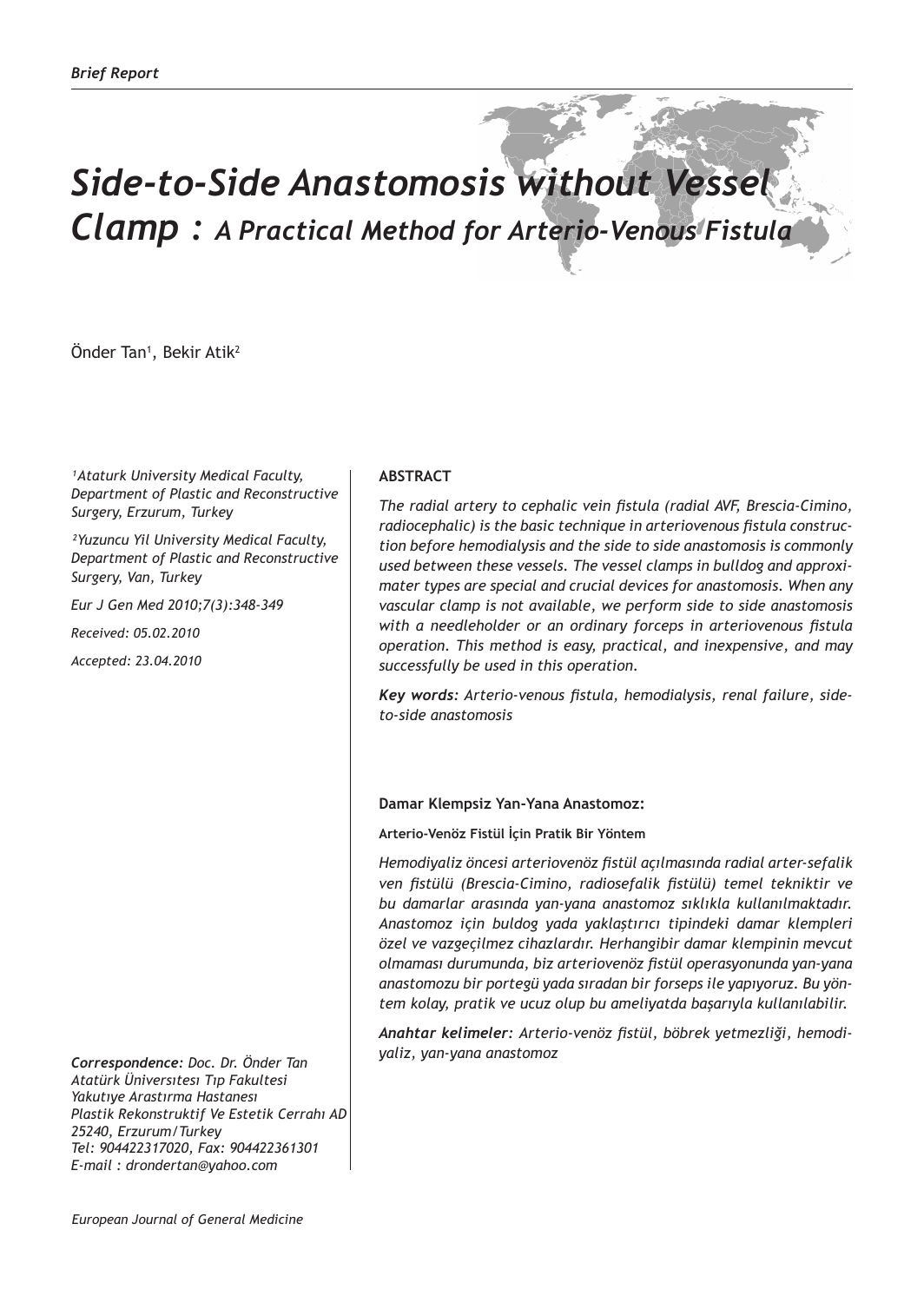## *Side-to-Side Anastomosis without Vessel Clamp : A Practical Method for Arterio-Venous Fistula*

Onder Tan<sup>1</sup>, Bekir Atik<sup>2</sup>

*¹Ataturk University Medical Faculty, Department of Plastic and Reconstructive Surgery, Erzurum, Turkey*

*²Yuzuncu Yil University Medical Faculty, Department of Plastic and Reconstructive Surgery, Van, Turkey*

*Eur J Gen Med 2010;7(3):348-349*

*Received: 05.02.2010*

*Accepted: 23.04.2010*

*Correspondence: Doc. Dr. Önder Tan Atatürk Üniversıtesı Tıp Fakultesi Yakutıye Arastırma Hastanesı Plastik Rekonstruktif Ve Estetik Cerrahı AD 25240, Erzurum/Turkey Tel: 904422317020, Fax: 904422361301 E-mail : drondertan@yahoo.com*

## **ABSTRACT**

*The radial artery to cephalic vein fistula (radial AVF, Brescia-Cimino, radiocephalic) is the basic technique in arteriovenous fistula construction before hemodialysis and the side to side anastomosis is commonly used between these vessels. The vessel clamps in bulldog and approximater types are special and crucial devices for anastomosis. When any vascular clamp is not available, we perform side to side anastomosis with a needleholder or an ordinary forceps in arteriovenous fistula operation. This method is easy, practical, and inexpensive, and may successfully be used in this operation.*

*Key words: Arterio-venous fistula, hemodialysis, renal failure, sideto-side anastomosis*

## **Damar Klempsiz Yan-Yana Anastomoz:**

**Arterio-Venöz Fistül İçin Pratik Bir Yöntem**

*Hemodiyaliz öncesi arteriovenöz fistül açılmasında radial arter-sefalik ven fistülü (Brescia-Cimino, radiosefalik fistülü) temel tekniktir ve bu damarlar arasında yan-yana anastomoz sıklıkla kullanılmaktadır. Anastomoz için buldog yada yaklaştırıcı tipindeki damar klempleri özel ve vazgeçilmez cihazlardır. Herhangibir damar klempinin mevcut olmaması durumunda, biz arteriovenöz fistül operasyonunda yan-yana anastomozu bir portegü yada sıradan bir forseps ile yapıyoruz. Bu yöntem kolay, pratik ve ucuz olup bu ameliyatda başarıyla kullanılabilir.*

*Anahtar kelimeler: Arterio-venöz fistül, böbrek yetmezliği, hemodiyaliz, yan-yana anastomoz*